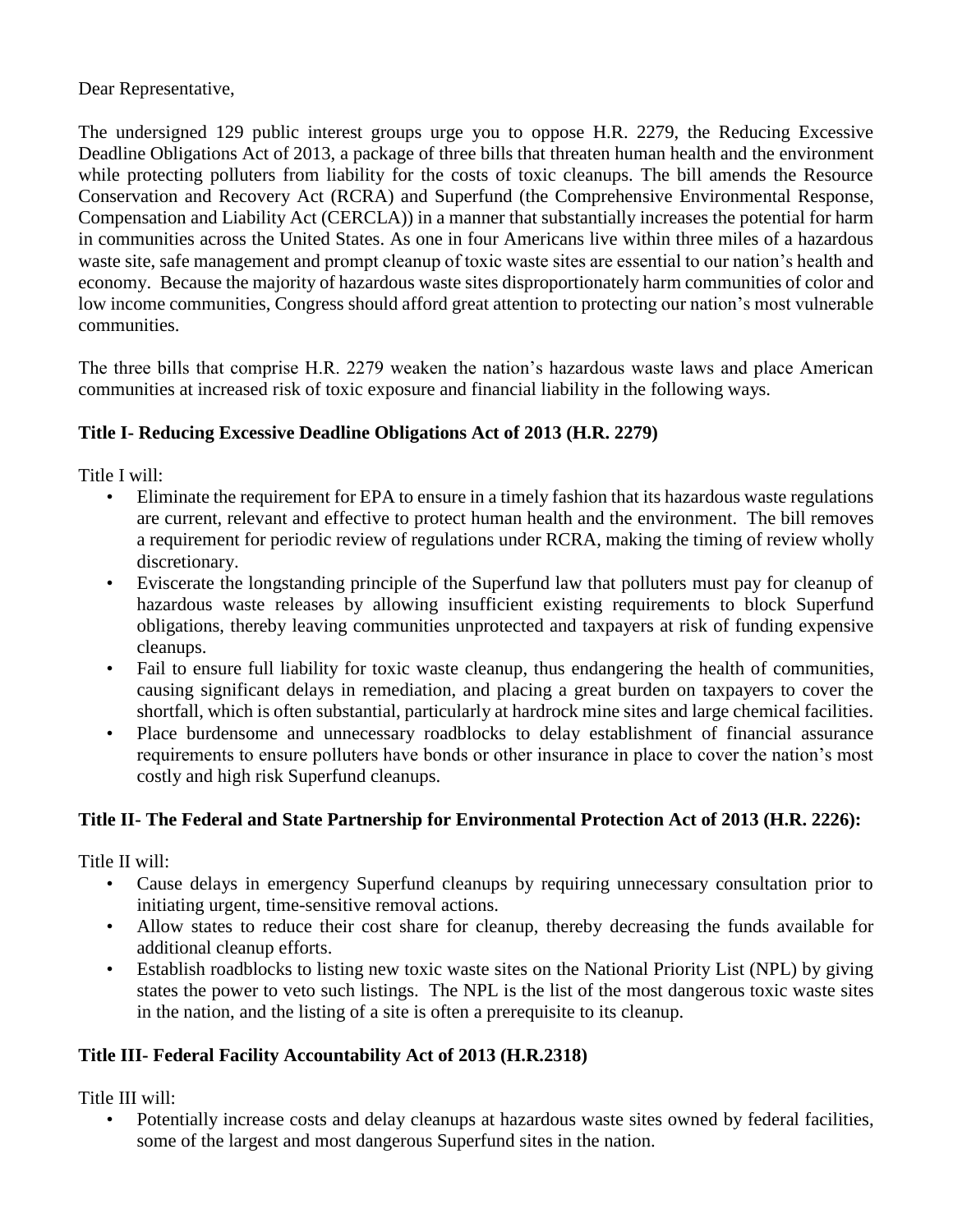Dear Representative,

The undersigned 129 public interest groups urge you to oppose H.R. 2279, the Reducing Excessive Deadline Obligations Act of 2013, a package of three bills that threaten human health and the environment while protecting polluters from liability for the costs of toxic cleanups. The bill amends the Resource Conservation and Recovery Act (RCRA) and Superfund (the Comprehensive Environmental Response, Compensation and Liability Act (CERCLA)) in a manner that substantially increases the potential for harm in communities across the United States. As one in four Americans live within three miles of a hazardous waste site, safe management and prompt cleanup of toxic waste sites are essential to our nation's health and economy. Because the majority of hazardous waste sites disproportionately harm communities of color and low income communities, Congress should afford great attention to protecting our nation's most vulnerable communities.

The three bills that comprise H.R. 2279 weaken the nation's hazardous waste laws and place American communities at increased risk of toxic exposure and financial liability in the following ways.

## **Title I- Reducing Excessive Deadline Obligations Act of 2013 (H.R. 2279)**

Title I will:

- Eliminate the requirement for EPA to ensure in a timely fashion that its hazardous waste regulations are current, relevant and effective to protect human health and the environment. The bill removes a requirement for periodic review of regulations under RCRA, making the timing of review wholly discretionary.
- Eviscerate the longstanding principle of the Superfund law that polluters must pay for cleanup of hazardous waste releases by allowing insufficient existing requirements to block Superfund obligations, thereby leaving communities unprotected and taxpayers at risk of funding expensive cleanups.
- Fail to ensure full liability for toxic waste cleanup, thus endangering the health of communities, causing significant delays in remediation, and placing a great burden on taxpayers to cover the shortfall, which is often substantial, particularly at hardrock mine sites and large chemical facilities.
- Place burdensome and unnecessary roadblocks to delay establishment of financial assurance requirements to ensure polluters have bonds or other insurance in place to cover the nation's most costly and high risk Superfund cleanups.

## **Title II- The Federal and State Partnership for Environmental Protection Act of 2013 (H.R. 2226):**

Title II will:

- Cause delays in emergency Superfund cleanups by requiring unnecessary consultation prior to initiating urgent, time-sensitive removal actions.
- Allow states to reduce their cost share for cleanup, thereby decreasing the funds available for additional cleanup efforts.
- Establish roadblocks to listing new toxic waste sites on the National Priority List (NPL) by giving states the power to veto such listings. The NPL is the list of the most dangerous toxic waste sites in the nation, and the listing of a site is often a prerequisite to its cleanup.

## **Title III- Federal Facility Accountability Act of 2013 (H.R.2318)**

Title III will:

• Potentially increase costs and delay cleanups at hazardous waste sites owned by federal facilities, some of the largest and most dangerous Superfund sites in the nation.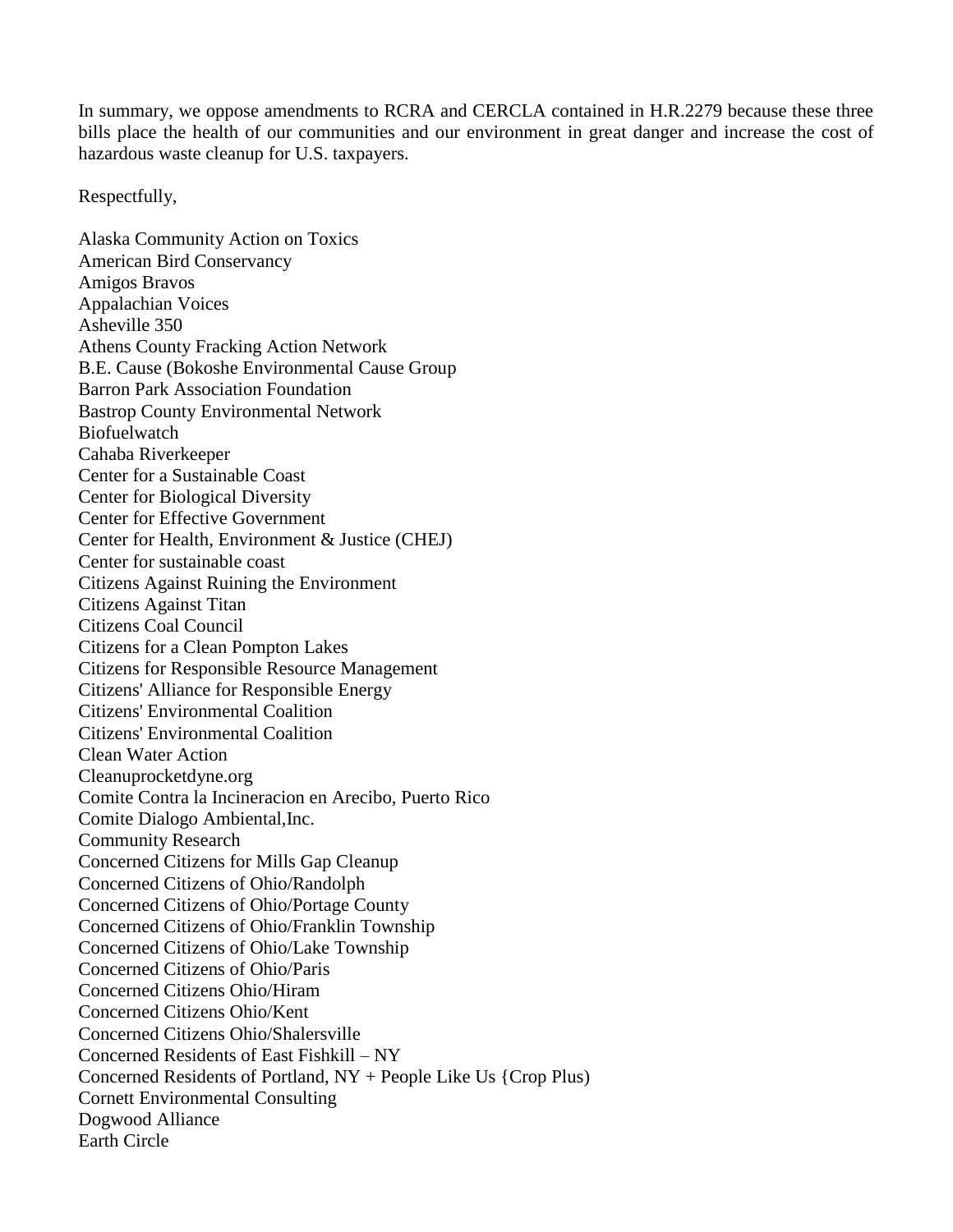In summary, we oppose amendments to RCRA and CERCLA contained in H.R.2279 because these three bills place the health of our communities and our environment in great danger and increase the cost of hazardous waste cleanup for U.S. taxpayers.

Respectfully,

Alaska Community Action on Toxics American Bird Conservancy Amigos Bravos Appalachian Voices Asheville 350 Athens County Fracking Action Network B.E. Cause (Bokoshe Environmental Cause Group Barron Park Association Foundation Bastrop County Environmental Network Biofuelwatch Cahaba Riverkeeper Center for a Sustainable Coast Center for Biological Diversity Center for Effective Government Center for Health, Environment & Justice (CHEJ) Center for sustainable coast Citizens Against Ruining the Environment Citizens Against Titan Citizens Coal Council Citizens for a Clean Pompton Lakes Citizens for Responsible Resource Management Citizens' Alliance for Responsible Energy Citizens' Environmental Coalition Citizens' Environmental Coalition Clean Water Action Cleanuprocketdyne.org Comite Contra la Incineracion en Arecibo, Puerto Rico Comite Dialogo Ambiental,Inc. Community Research Concerned Citizens for Mills Gap Cleanup Concerned Citizens of Ohio/Randolph Concerned Citizens of Ohio/Portage County Concerned Citizens of Ohio/Franklin Township Concerned Citizens of Ohio/Lake Township Concerned Citizens of Ohio/Paris Concerned Citizens Ohio/Hiram Concerned Citizens Ohio/Kent Concerned Citizens Ohio/Shalersville Concerned Residents of East Fishkill – NY Concerned Residents of Portland, NY + People Like Us {Crop Plus) Cornett Environmental Consulting Dogwood Alliance Earth Circle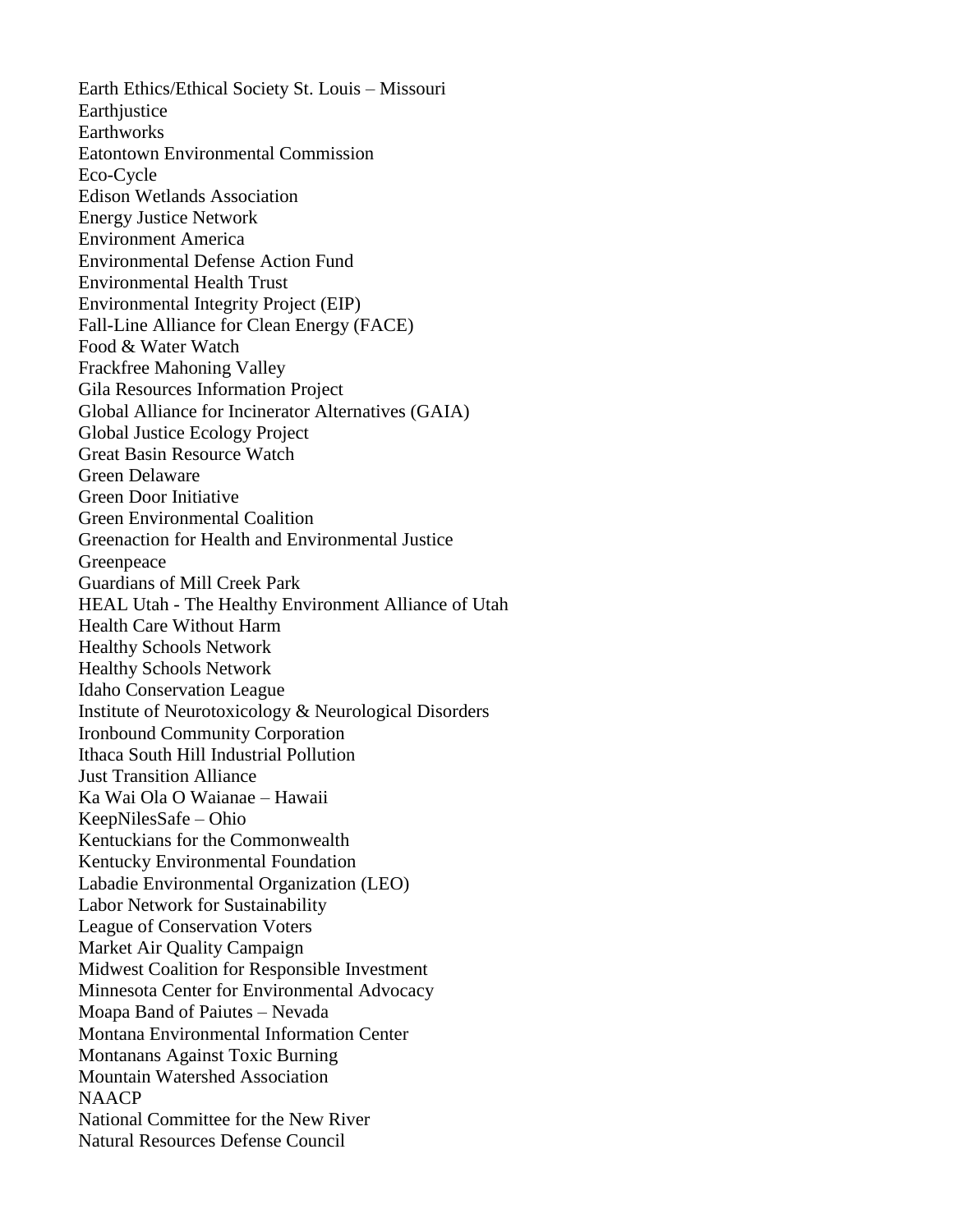Earth Ethics/Ethical Society St. Louis – Missouri Earthiustice **Earthworks** Eatontown Environmental Commission Eco-Cycle Edison Wetlands Association Energy Justice Network Environment America Environmental Defense Action Fund Environmental Health Trust Environmental Integrity Project (EIP) Fall-Line Alliance for Clean Energy (FACE) Food & Water Watch Frackfree Mahoning Valley Gila Resources Information Project Global Alliance for Incinerator Alternatives (GAIA) Global Justice Ecology Project Great Basin Resource Watch Green Delaware Green Door Initiative Green Environmental Coalition Greenaction for Health and Environmental Justice Greenpeace Guardians of Mill Creek Park HEAL Utah - The Healthy Environment Alliance of Utah Health Care Without Harm Healthy Schools Network Healthy Schools Network Idaho Conservation League Institute of Neurotoxicology & Neurological Disorders Ironbound Community Corporation Ithaca South Hill Industrial Pollution Just Transition Alliance Ka Wai Ola O Waianae – Hawaii KeepNilesSafe – Ohio Kentuckians for the Commonwealth Kentucky Environmental Foundation Labadie Environmental Organization (LEO) Labor Network for Sustainability League of Conservation Voters Market Air Quality Campaign Midwest Coalition for Responsible Investment Minnesota Center for Environmental Advocacy Moapa Band of Paiutes – Nevada Montana Environmental Information Center Montanans Against Toxic Burning Mountain Watershed Association NAACP National Committee for the New River Natural Resources Defense Council